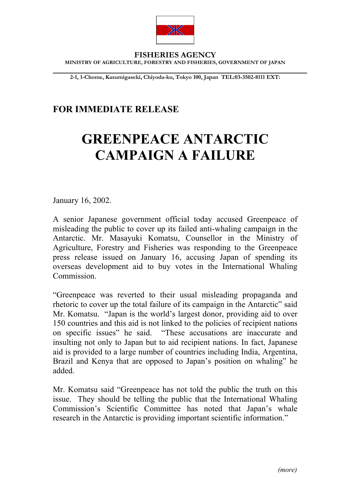

**FISHERIES AGENCY MINISTRY OF AGRICULTURE, FORESTRY AND FISHERIES, GOVERNMENT OF JAPAN**

**2-1, 1-Chome, Kasumigaseki, Chiyoda-ku, Tokyo 100, Japan TEL:03-3502-8111 EXT:**

## **FOR IMMEDIATE RELEASE**

## **GREENPEACE ANTARCTIC CAMPAIGN A FAILURE**

January 16, 2002.

 $\overline{a}$ 

A senior Japanese government official today accused Greenpeace of misleading the public to cover up its failed anti-whaling campaign in the Antarctic. Mr. Masayuki Komatsu, Counsellor in the Ministry of Agriculture, Forestry and Fisheries was responding to the Greenpeace press release issued on January 16, accusing Japan of spending its overseas development aid to buy votes in the International Whaling Commission.

"Greenpeace was reverted to their usual misleading propaganda and rhetoric to cover up the total failure of its campaign in the Antarctic" said Mr. Komatsu. "Japan is the world's largest donor, providing aid to over 150 countries and this aid is not linked to the policies of recipient nations on specific issues" he said. "These accusations are inaccurate and insulting not only to Japan but to aid recipient nations. In fact, Japanese aid is provided to a large number of countries including India, Argentina, Brazil and Kenya that are opposed to Japan's position on whaling" he added.

Mr. Komatsu said "Greenpeace has not told the public the truth on this issue. They should be telling the public that the International Whaling Commission's Scientific Committee has noted that Japan's whale research in the Antarctic is providing important scientific information."